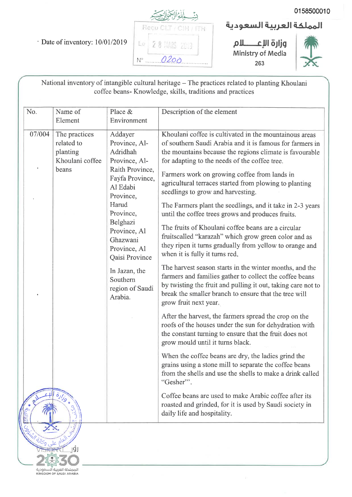· Date of inventory: 10/01/2019



المملكة العربية السعودية

وزارة الإعكسام **Ministry of Media** 263



National inventory of intangible cultural heritage - The practices related to planting Khoulani coffee beans- Knowledge, skills, traditions and practices

| No.                        | Name of<br>Element                                                                                         | Place &<br>Environment                                                                                                                                                                                                                                                          | Description of the element                                                                                                                                                                                                                                                                                                                                                                                                                                                                                                                                                                                                                                                                                                                                                                                                                                                                                                                                                                                                                                                                                                                                                                                                                                                                                                                                                                                                                                                                                                                         |
|----------------------------|------------------------------------------------------------------------------------------------------------|---------------------------------------------------------------------------------------------------------------------------------------------------------------------------------------------------------------------------------------------------------------------------------|----------------------------------------------------------------------------------------------------------------------------------------------------------------------------------------------------------------------------------------------------------------------------------------------------------------------------------------------------------------------------------------------------------------------------------------------------------------------------------------------------------------------------------------------------------------------------------------------------------------------------------------------------------------------------------------------------------------------------------------------------------------------------------------------------------------------------------------------------------------------------------------------------------------------------------------------------------------------------------------------------------------------------------------------------------------------------------------------------------------------------------------------------------------------------------------------------------------------------------------------------------------------------------------------------------------------------------------------------------------------------------------------------------------------------------------------------------------------------------------------------------------------------------------------------|
| 07/004<br>Mail Sold Die de | The practices<br>related to<br>planting<br>Khoulani coffee<br>beans<br>$\ddot{\delta}_{J}\dot{\delta}_{J}$ | Addayer<br>Province, Al-<br>Adridhah<br>Province, Al-<br>Raith Province,<br>Fayfa Province,<br>Al Edabi<br>Province,<br>Harud<br>Province,<br>Belghazi<br>Province, Al<br>Ghazwani<br>Province, Al<br>Qaisi Province<br>In Jazan, the<br>Southern<br>region of Saudi<br>Arabia. | Khoulani coffee is cultivated in the mountainous areas<br>of southern Saudi Arabia and it is famous for farmers in<br>the mountains because the regions climate is favourable<br>for adapting to the needs of the coffee tree.<br>Farmers work on growing coffee from lands in<br>agricultural terraces started from plowing to planting<br>seedlings to grow and harvesting.<br>The Farmers plant the seedlings, and it take in 2-3 years<br>until the coffee trees grows and produces fruits.<br>The fruits of Khoulani coffee beans are a circular<br>fruitscalled "karazah" which grow green color and as<br>they ripen it turns gradually from yellow to orange and<br>when it is fully it turns red,<br>The harvest season starts in the winter months, and the<br>farmers and families gather to collect the coffee beans<br>by twisting the fruit and pulling it out, taking care not to<br>break the smaller branch to ensure that the tree will<br>grow fruit next year.<br>After the harvest, the farmers spread the crop on the<br>roofs of the houses under the sun for dehydration with<br>the constant turning to ensure that the fruit does not<br>grow mould until it turns black.<br>When the coffee beans are dry, the ladies grind the<br>grains using a stone mill to separate the coffee beans<br>from the shells and use the shells to make a drink called<br>"Gesher"'.<br>Coffee beans are used to make Arabic coffee after its<br>roasted and grinded, for it is used by Saudi society in<br>daily life and hospitality. |
|                            | Įġj                                                                                                        |                                                                                                                                                                                                                                                                                 |                                                                                                                                                                                                                                                                                                                                                                                                                                                                                                                                                                                                                                                                                                                                                                                                                                                                                                                                                                                                                                                                                                                                                                                                                                                                                                                                                                                                                                                                                                                                                    |

 $\mathbb{R}^N$ المملكة العربية السعودية<br>KINGDOM OF SAUDI ARABIA